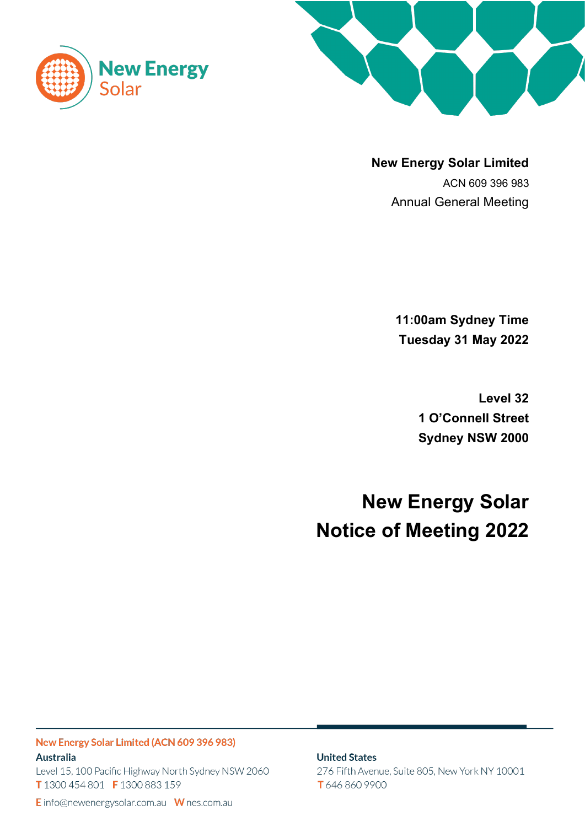



**New Energy Solar Limited** ACN 609 396 983 Annual General Meeting

> **11:00am Sydney Time Tuesday 31 May 2022**

> > **Level 32 1 O'Connell Street Sydney NSW 2000**

**New Energy Solar Notice of Meeting 2022**

New Energy Solar Limited (ACN 609 396 983) **Australia** Level 15, 100 Pacific Highway North Sydney NSW 2060 T 1300 454 801 F 1300 883 159

**United States** 

276 Fifth Avenue, Suite 805, New York NY 10001 T 646 860 9900

E info@newenergysolar.com.au W nes.com.au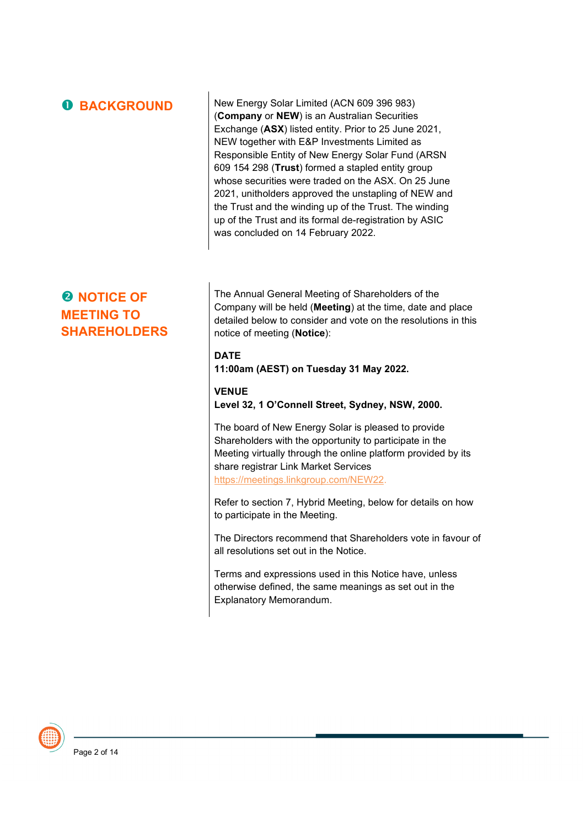|  |  | <b>O BACKGROUND</b> |
|--|--|---------------------|
|  |  |                     |

New Energy Solar Limited (ACN 609 396 983) (**Company** or **NEW**) is an Australian Securities Exchange (**ASX**) listed entity. Prior to 25 June 2021, NEW together with E&P Investments Limited as Responsible Entity of New Energy Solar Fund (ARSN 609 154 298 (**Trust**) formed a stapled entity group whose securities were traded on the ASX. On 25 June 2021, unitholders approved the unstapling of NEW and the Trust and the winding up of the Trust. The winding up of the Trust and its formal de-registration by ASIC was concluded on 14 February 2022.

# **Q** NOTICE OF **MEETING TO SHAREHOLDERS**

The Annual General Meeting of Shareholders of the Company will be held (**Meeting**) at the time, date and place detailed below to consider and vote on the resolutions in this notice of meeting (**Notice**):

# **DATE**

**11:00am (AEST) on Tuesday 31 May 2022.** 

# **VENUE Level 32, 1 O'Connell Street, Sydney, NSW, 2000.**

The board of New Energy Solar is pleased to provide Shareholders with the opportunity to participate in the Meeting virtually through the online platform provided by its share registrar Link Market Services https://meetings.linkgroup.com/NEW22.

Refer to section 7, Hybrid Meeting, below for details on how to participate in the Meeting.

The Directors recommend that Shareholders vote in favour of all resolutions set out in the Notice.

Terms and expressions used in this Notice have, unless otherwise defined, the same meanings as set out in the Explanatory Memorandum.

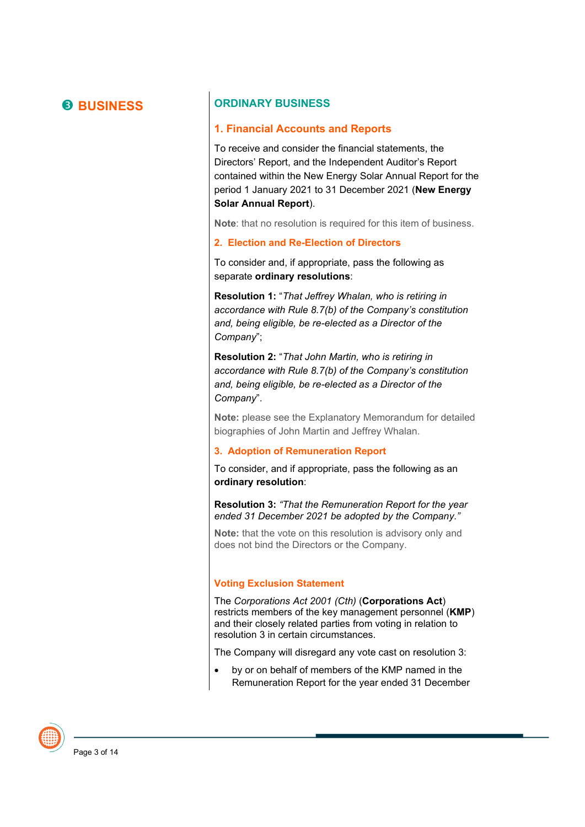# **B BUSINESS ORDINARY BUSINESS**

#### **1. Financial Accounts and Reports**

To receive and consider the financial statements, the Directors' Report, and the Independent Auditor's Report contained within the New Energy Solar Annual Report for the period 1 January 2021 to 31 December 2021 (**New Energy Solar Annual Report**).

**Note**: that no resolution is required for this item of business.

#### **2. Election and Re-Election of Directors**

To consider and, if appropriate, pass the following as separate **ordinary resolutions**:

**Resolution 1:** "*That Jeffrey Whalan, who is retiring in accordance with Rule 8.7(b) of the Company's constitution and, being eligible, be re-elected as a Director of the Company*";

**Resolution 2:** "*That John Martin, who is retiring in accordance with Rule 8.7(b) of the Company's constitution and, being eligible, be re-elected as a Director of the Company*".

**Note:** please see the Explanatory Memorandum for detailed biographies of John Martin and Jeffrey Whalan.

#### **3. Adoption of Remuneration Report**

To consider, and if appropriate, pass the following as an **ordinary resolution**:

**Resolution 3:** *"That the Remuneration Report for the year ended 31 December 2021 be adopted by the Company."*

**Note:** that the vote on this resolution is advisory only and does not bind the Directors or the Company.

#### **Voting Exclusion Statement**

The *Corporations Act 2001 (Cth)* (**Corporations Act**) restricts members of the key management personnel (**KMP**) and their closely related parties from voting in relation to resolution 3 in certain circumstances.

The Company will disregard any vote cast on resolution 3:

• by or on behalf of members of the KMP named in the Remuneration Report for the year ended 31 December

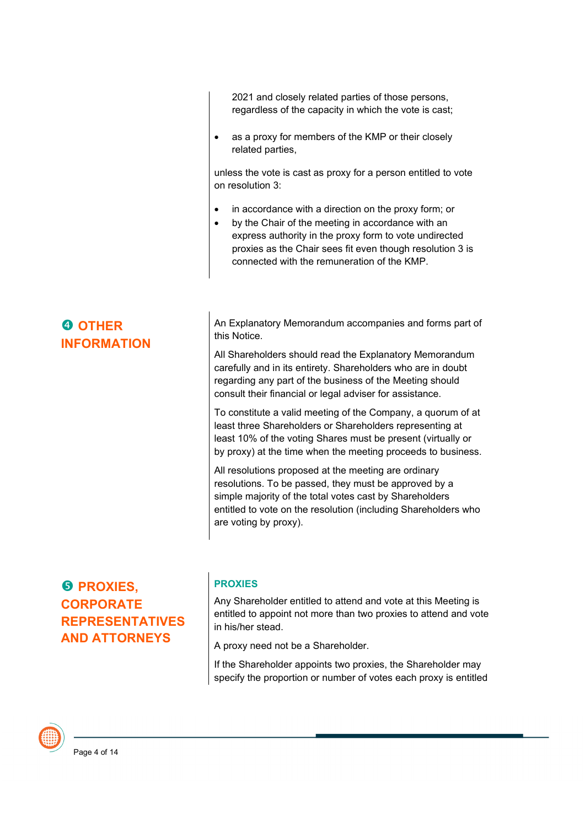2021 and closely related parties of those persons, regardless of the capacity in which the vote is cast;

• as a proxy for members of the KMP or their closely related parties,

unless the vote is cast as proxy for a person entitled to vote on resolution 3:

- in accordance with a direction on the proxy form; or
- by the Chair of the meeting in accordance with an express authority in the proxy form to vote undirected proxies as the Chair sees fit even though resolution 3 is connected with the remuneration of the KMP.

# *<u>B* PROXIES.</u> **CORPORATE REPRESENTATIVES AND ATTORNEYS**

### **PROXIES**

Any Shareholder entitled to attend and vote at this Meeting is entitled to appoint not more than two proxies to attend and vote in his/her stead.

A proxy need not be a Shareholder.

If the Shareholder appoints two proxies, the Shareholder may specify the proportion or number of votes each proxy is entitled

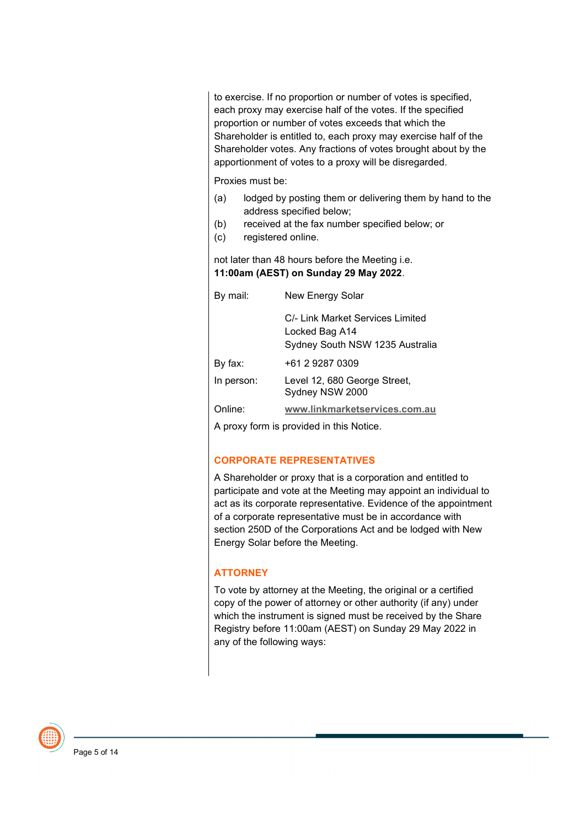to exercise. If no proportion or number of votes is specified, each proxy may exercise half of the votes. If the specified proportion or number of votes exceeds that which the Shareholder is entitled to, each proxy may exercise half of the Shareholder votes. Any fractions of votes brought about by the apportionment of votes to a proxy will be disregarded.

Proxies must be:

- (a) lodged by posting them or delivering them by hand to the address specified below;
- (b) received at the fax number specified below; or
- (c) registered online.

not later than 48 hours before the Meeting i.e. **11:00am (AEST) on Sunday 29 May 2022**.

| By mail:            | New Energy Solar                                                                      |  |  |
|---------------------|---------------------------------------------------------------------------------------|--|--|
|                     | C/- Link Market Services Limited<br>Locked Bag A14<br>Sydney South NSW 1235 Australia |  |  |
| By fax:             | +61 2 9287 0309                                                                       |  |  |
| In person:          | Level 12, 680 George Street,<br>Sydney NSW 2000                                       |  |  |
| Online <sup>.</sup> | www.linkmarketservices.com.au                                                         |  |  |

A proxy form is provided in this Notice.

### **CORPORATE REPRESENTATIVES**

A Shareholder or proxy that is a corporation and entitled to participate and vote at the Meeting may appoint an individual to act as its corporate representative. Evidence of the appointment of a corporate representative must be in accordance with section 250D of the Corporations Act and be lodged with New Energy Solar before the Meeting.

### **ATTORNEY**

To vote by attorney at the Meeting, the original or a certified copy of the power of attorney or other authority (if any) under which the instrument is signed must be received by the Share Registry before 11:00am (AEST) on Sunday 29 May 2022 in any of the following ways:

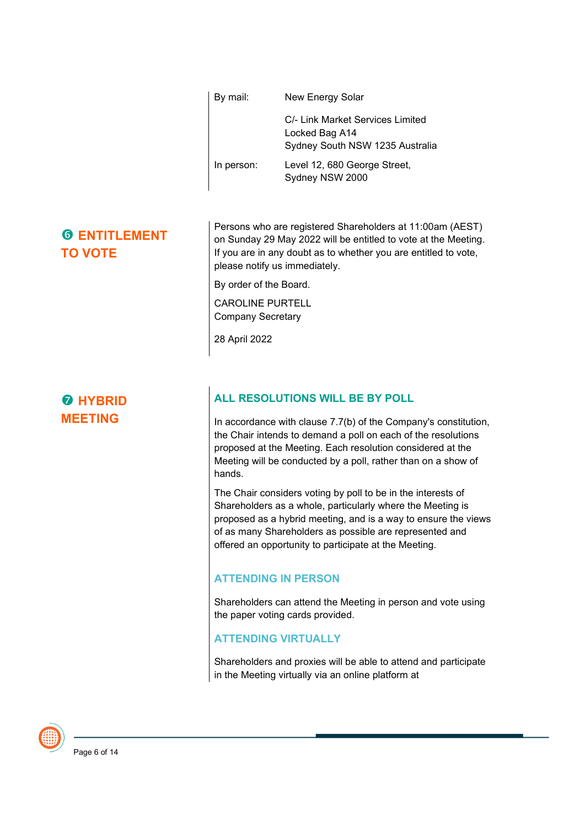| By mail:   | New Energy Solar                                                                      |  |  |  |
|------------|---------------------------------------------------------------------------------------|--|--|--|
|            | C/- Link Market Services Limited<br>Locked Bag A14<br>Sydney South NSW 1235 Australia |  |  |  |
| In person: | Level 12, 680 George Street,<br>Sydney NSW 2000                                       |  |  |  |

# **G ENTITLEMENT TO VOTE**

 $\theta$  **HYBRID MEETING**

Persons who are registered Shareholders at 11:00am (AEST) on Sunday 29 May 2022 will be entitled to vote at the Meeting. If you are in any doubt as to whether you are entitled to vote, please notify us immediately.

By order of the Board.

CAROLINE PURTELL Company Secretary

28 April 2022

# **ALL RESOLUTIONS WILL BE BY POLL**

In accordance with clause 7.7(b) of the Company's constitution, the Chair intends to demand a poll on each of the resolutions proposed at the Meeting. Each resolution considered at the Meeting will be conducted by a poll, rather than on a show of hands.

The Chair considers voting by poll to be in the interests of Shareholders as a whole, particularly where the Meeting is proposed as a hybrid meeting, and is a way to ensure the views of as many Shareholders as possible are represented and offered an opportunity to participate at the Meeting.

### **ATTENDING IN PERSON**

Shareholders can attend the Meeting in person and vote using the paper voting cards provided.

### **ATTENDING VIRTUALLY**

Shareholders and proxies will be able to attend and participate in the Meeting virtually via an online platform at

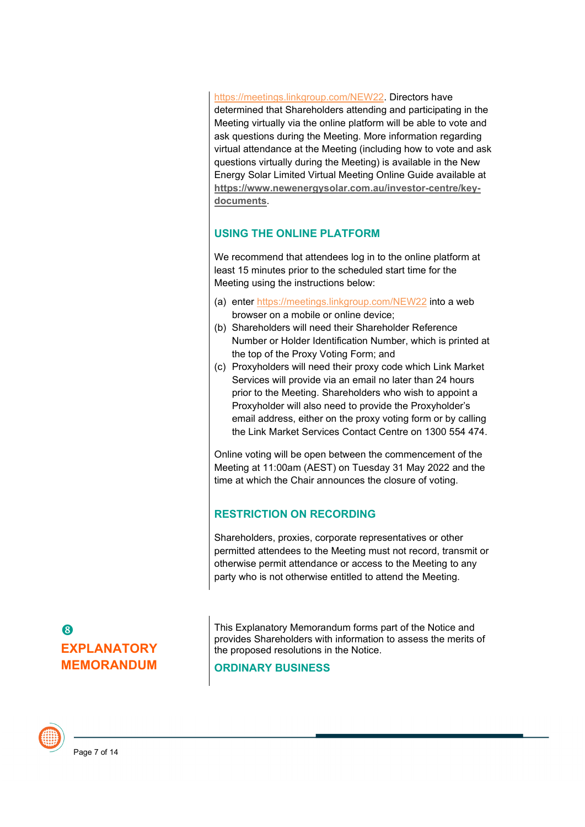https://meetings.linkgroup.com/NEW22. Directors have determined that Shareholders attending and participating in the Meeting virtually via the online platform will be able to vote and ask questions during the Meeting. More information regarding virtual attendance at the Meeting (including how to vote and ask questions virtually during the Meeting) is available in the New Energy Solar Limited Virtual Meeting Online Guide available at **[https://www.newenergysolar.com.au/investor-centre/key](https://www.newenergysolar.com.au/investor-centre/key-documents)[documents](https://www.newenergysolar.com.au/investor-centre/key-documents)**.

# **USING THE ONLINE PLATFORM**

We recommend that attendees log in to the online platform at least 15 minutes prior to the scheduled start time for the Meeting using the instructions below:

- (a) enter https://meetings.linkgroup.com/NEW22 into a web browser on a mobile or online device;
- (b) Shareholders will need their Shareholder Reference Number or Holder Identification Number, which is printed at the top of the Proxy Voting Form; and
- (c) Proxyholders will need their proxy code which Link Market Services will provide via an email no later than 24 hours prior to the Meeting. Shareholders who wish to appoint a Proxyholder will also need to provide the Proxyholder's email address, either on the proxy voting form or by calling the Link Market Services Contact Centre on 1300 554 474.

Online voting will be open between the commencement of the Meeting at 11:00am (AEST) on Tuesday 31 May 2022 and the time at which the Chair announces the closure of voting.

# **RESTRICTION ON RECORDING**

Shareholders, proxies, corporate representatives or other permitted attendees to the Meeting must not record, transmit or otherwise permit attendance or access to the Meeting to any party who is not otherwise entitled to attend the Meeting.

# 8 **EXPLANATORY MEMORANDUM**

This Explanatory Memorandum forms part of the Notice and provides Shareholders with information to assess the merits of the proposed resolutions in the Notice.

## **ORDINARY BUSINESS**

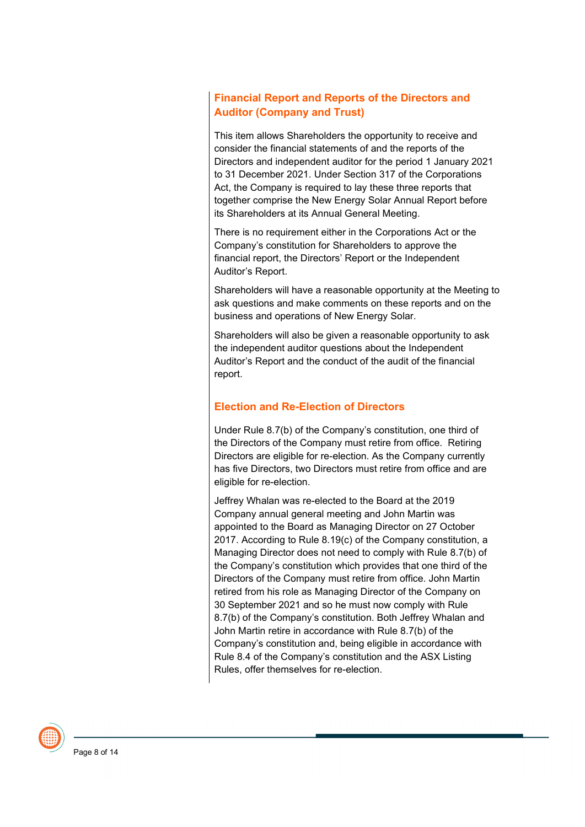## **Financial Report and Reports of the Directors and Auditor (Company and Trust)**

This item allows Shareholders the opportunity to receive and consider the financial statements of and the reports of the Directors and independent auditor for the period 1 January 2021 to 31 December 2021. Under Section 317 of the Corporations Act, the Company is required to lay these three reports that together comprise the New Energy Solar Annual Report before its Shareholders at its Annual General Meeting.

There is no requirement either in the Corporations Act or the Company's constitution for Shareholders to approve the financial report, the Directors' Report or the Independent Auditor's Report.

Shareholders will have a reasonable opportunity at the Meeting to ask questions and make comments on these reports and on the business and operations of New Energy Solar.

Shareholders will also be given a reasonable opportunity to ask the independent auditor questions about the Independent Auditor's Report and the conduct of the audit of the financial report.

### **Election and Re-Election of Directors**

Under Rule 8.7(b) of the Company's constitution, one third of the Directors of the Company must retire from office. Retiring Directors are eligible for re-election. As the Company currently has five Directors, two Directors must retire from office and are eligible for re-election.

Jeffrey Whalan was re-elected to the Board at the 2019 Company annual general meeting and John Martin was appointed to the Board as Managing Director on 27 October 2017. According to Rule 8.19(c) of the Company constitution, a Managing Director does not need to comply with Rule 8.7(b) of the Company's constitution which provides that one third of the Directors of the Company must retire from office. John Martin retired from his role as Managing Director of the Company on 30 September 2021 and so he must now comply with Rule 8.7(b) of the Company's constitution. Both Jeffrey Whalan and John Martin retire in accordance with Rule 8.7(b) of the Company's constitution and, being eligible in accordance with Rule 8.4 of the Company's constitution and the ASX Listing Rules, offer themselves for re-election.

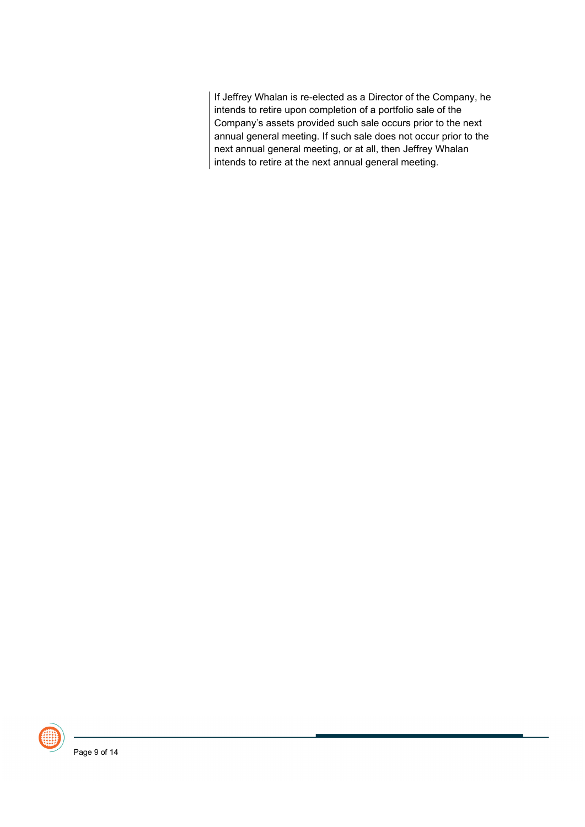If Jeffrey Whalan is re-elected as a Director of the Company, he intends to retire upon completion of a portfolio sale of the Company's assets provided such sale occurs prior to the next annual general meeting. If such sale does not occur prior to the next annual general meeting, or at all, then Jeffrey Whalan intends to retire at the next annual general meeting.

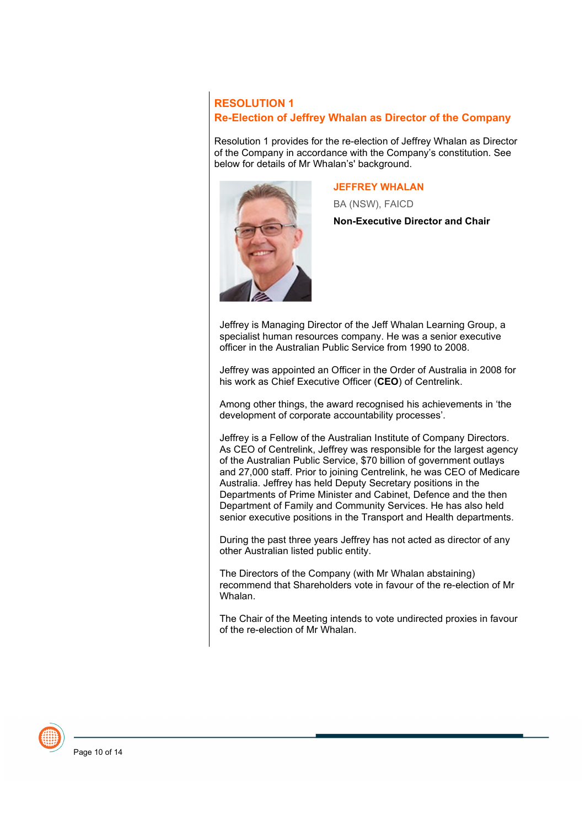# **RESOLUTION 1 Re-Election of Jeffrey Whalan as Director of the Company**

Resolution 1 provides for the re-election of Jeffrey Whalan as Director of the Company in accordance with the Company's constitution. See below for details of Mr Whalan's' background.



#### **JEFFREY WHALAN**

BA (NSW), FAICD

**Non-Executive Director and Chair**

Jeffrey is Managing Director of the Jeff Whalan Learning Group, a specialist human resources company. He was a senior executive officer in the Australian Public Service from 1990 to 2008.

Jeffrey was appointed an Officer in the Order of Australia in 2008 for his work as Chief Executive Officer (**CEO**) of Centrelink.

Among other things, the award recognised his achievements in 'the development of corporate accountability processes'.

Jeffrey is a Fellow of the Australian Institute of Company Directors. As CEO of Centrelink, Jeffrey was responsible for the largest agency of the Australian Public Service, \$70 billion of government outlays and 27,000 staff. Prior to joining Centrelink, he was CEO of Medicare Australia. Jeffrey has held Deputy Secretary positions in the Departments of Prime Minister and Cabinet, Defence and the then Department of Family and Community Services. He has also held senior executive positions in the Transport and Health departments.

During the past three years Jeffrey has not acted as director of any other Australian listed public entity.

The Directors of the Company (with Mr Whalan abstaining) recommend that Shareholders vote in favour of the re-election of Mr Whalan.

The Chair of the Meeting intends to vote undirected proxies in favour of the re-election of Mr Whalan.

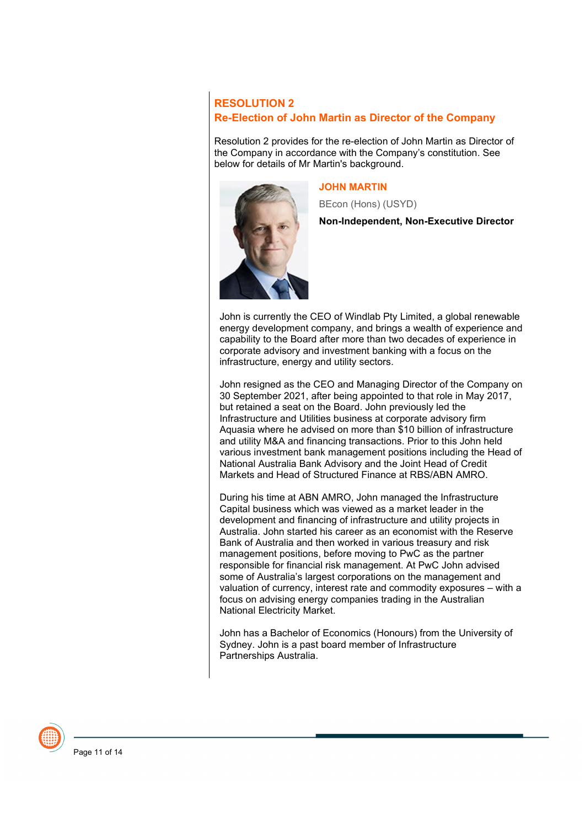**RESOLUTION 2 Re-Election of John Martin as Director of the Company**

Resolution 2 provides for the re-election of John Martin as Director of the Company in accordance with the Company's constitution. See below for details of Mr Martin's background.



#### **JOHN MARTIN**

BEcon (Hons) (USYD)

**Non-Independent, Non-Executive Director**

John is currently the CEO of Windlab Pty Limited, a global renewable energy development company, and brings a wealth of experience and capability to the Board after more than two decades of experience in corporate advisory and investment banking with a focus on the infrastructure, energy and utility sectors.

John resigned as the CEO and Managing Director of the Company on 30 September 2021, after being appointed to that role in May 2017, but retained a seat on the Board. John previously led the Infrastructure and Utilities business at corporate advisory firm Aquasia where he advised on more than \$10 billion of infrastructure and utility M&A and financing transactions. Prior to this John held various investment bank management positions including the Head of National Australia Bank Advisory and the Joint Head of Credit Markets and Head of Structured Finance at RBS/ABN AMRO.

During his time at ABN AMRO, John managed the Infrastructure Capital business which was viewed as a market leader in the development and financing of infrastructure and utility projects in Australia. John started his career as an economist with the Reserve Bank of Australia and then worked in various treasury and risk management positions, before moving to PwC as the partner responsible for financial risk management. At PwC John advised some of Australia's largest corporations on the management and valuation of currency, interest rate and commodity exposures – with a focus on advising energy companies trading in the Australian National Electricity Market.

John has a Bachelor of Economics (Honours) from the University of Sydney. John is a past board member of Infrastructure Partnerships Australia.

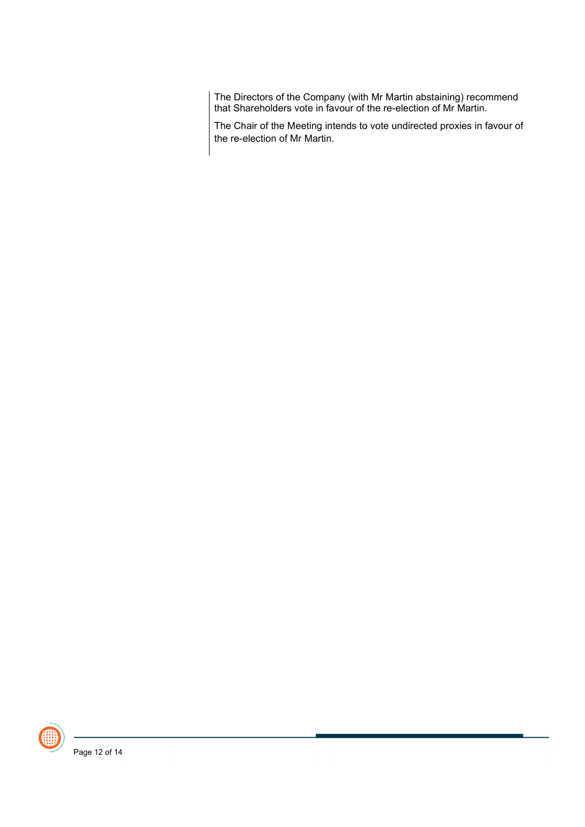The Directors of the Company (with Mr Martin abstaining) recommend that Shareholders vote in favour of the re-election of Mr Martin.

The Chair of the Meeting intends to vote undirected proxies in favour of the re-election of Mr Martin.

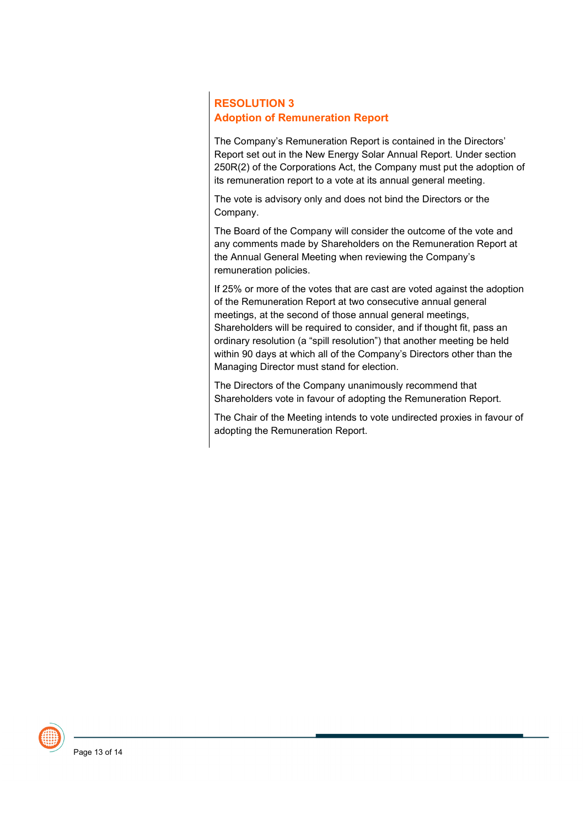# **RESOLUTION 3 Adoption of Remuneration Report**

The Company's Remuneration Report is contained in the Directors' Report set out in the New Energy Solar Annual Report. Under section 250R(2) of the Corporations Act, the Company must put the adoption of its remuneration report to a vote at its annual general meeting.

The vote is advisory only and does not bind the Directors or the Company.

The Board of the Company will consider the outcome of the vote and any comments made by Shareholders on the Remuneration Report at the Annual General Meeting when reviewing the Company's remuneration policies.

If 25% or more of the votes that are cast are voted against the adoption of the Remuneration Report at two consecutive annual general meetings, at the second of those annual general meetings, Shareholders will be required to consider, and if thought fit, pass an ordinary resolution (a "spill resolution") that another meeting be held within 90 days at which all of the Company's Directors other than the Managing Director must stand for election.

The Directors of the Company unanimously recommend that Shareholders vote in favour of adopting the Remuneration Report.

The Chair of the Meeting intends to vote undirected proxies in favour of adopting the Remuneration Report.